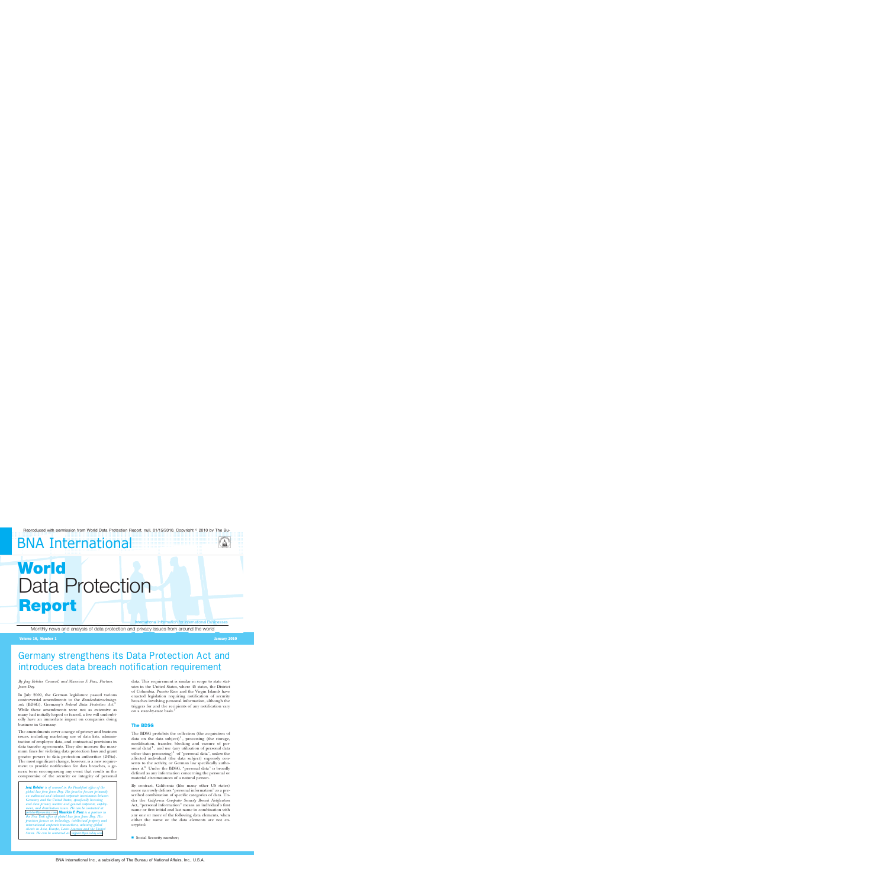# **BNA International**



# **World** Data Protection **Report**

International Information for International Businesses

Monthly news and analysis of data protection and privacy issues from around the world

#### Volume 16, Number 1 January 2010

# Germany strengthens its Data Protection Act and introduces data breach notification requirement

#### *By Jorg Rehder, Counsel, and Mauricio F. Paez, Partner, Jones Day.*

In July 2009, the German legislature passed various controversial amendments to the *Bundesdatenschutzgesetz* (BDSG), Germany's *Federal Data Protection Act*. 1 While these amendments were not as extensive as many had initially hoped or feared, a few will undoubtedly have an immediate impact on companies doing business in Germany.

The amendments cover a range of privacy and business issues, including marketing use of data lists, administration of employee data, and contractual provisions in data transfer agreements. They also increase the maximum fines for violating data protection laws and grant greater powers to data protection authorities (DPAs). The most significant change, however, is a new requirement to provide notification for data breaches, a generic term encompassing any event that results in the compromise of the security or integrity of personal

Jorg Rehder *is of counsel in the Frankfurt office of the global law firm Jones Day. His practice focuses primarily on outbound and inbound corporate investments between Germany and the United States, specifically licensing and data privacy matters and general corporate, employment, and distribution issues. He can be contacted at: [jrehder@jonesday.com.](mailto:jrehder@jonesday.com)* Mauricio F. Paez *is a partner in the New York office of global law firm Jones Day. His practices focuses on technology, intellectual property and international corporate transactions, advising global clients in Asia, Europe, Latin America and the United States. He can be contacted at: [mfpaez@jonesday.com.](mailto:mfpaez@jonesday.com)*

data. This requirement is similar in scope to state statutes in the United States, where 45 states, the District of Columbia, Puerto Rico and the Virgin Islands have enacted legislation requiring notification of security breaches involving personal information, although the triggers for and the recipients of any notification vary on a state-by-state basis.<sup>2</sup>

# The BDSG

The BDSG prohibits the collection (the acquisition of data on the data subject)<sup>3</sup>, processing (the storage, modification, transfer, blocking and erasure of personal data) $<sup>4</sup>$ , and use (any utilisation of personal data</sup> other than processing) $5$  of "personal data", unless the affected individual (the data subject) expressly consents to the activity, or German law specifically authorises it.<sup>6</sup> Under the BDSG, "personal data" is broadly defined as any information concerning the personal or material circumstances of a natural person.

By contrast, California (like many other US states) more narrowly defines "personal information" as a prescribed combination of specific categories of data. Under the *California Computer Security Breach Notification* Act, ''personal information'' means an individual's first name or first initial and last name in combination with any one or more of the following data elements, when either the name or the data elements are not encrypted:

■ Social Security number;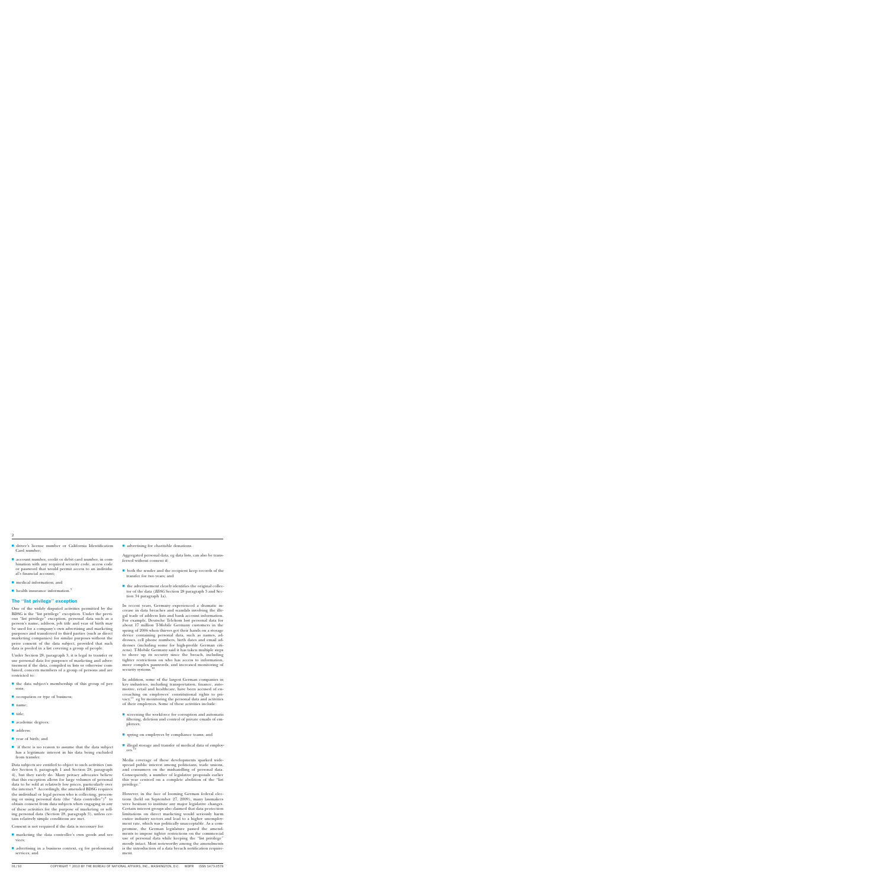- s driver's license number or California Identification Card number;
- $\blacksquare$  account number, credit or debit card number, in combination with any required security code, access code or password that would permit access to an individual's financial account;
- $\blacksquare$  medical information; and
- $\blacksquare$  health insurance information.<sup>7</sup>

# The ''list privilege'' exception

One of the widely disputed activities permitted by the BDSG is the ''list privilege'' exception. Under the previous ''list privilege'' exception, personal data such as a person's name, address, job title and year of birth may be used for a company's own advertising and marketing purposes and transferred to third parties (such as direct marketing companies) for similar purposes without the prior consent of the data subject, provided that such data is pooled in a list covering a group of people.

Under Section 28, paragraph 3, it is legal to transfer or use personal data for purposes of marketing and advertisement if the data, compiled in lists or otherwise combined, concern members of a group of persons and are restricted to:

- $\blacksquare$  the data subject's membership of this group of persons;
- occupation or type of business;
- name;
- $\blacksquare$  title;
- academic degrees;
- address;
- $\blacksquare$  year of birth; and
- if there is no reason to assume that the data subject has a legitimate interest in his data being excluded from transfer.

Data subjects are entitled to object to such activities (under Section 6, paragraph 1 and Section 28, paragraph 4), but they rarely do. Many privacy advocates believe that this exception allows for large volumes of personal data to be sold at relatively low prices, particularly over the internet.<sup>8</sup> Accordingly, the amended BDSG requires the individual or legal person who is collecting, processing or using personal data (the "data controller") $9$  to obtain consent from data subjects when engaging in any of these activities for the purpose of marketing or selling personal data (Section 28, paragraph 3), unless certain relatively simple conditions are met.

Consent is not required if the data is necessary for:

- **n** marketing the data controller's own goods and services;
- $\blacksquare$  advertising in a business context, eg for professional services; and

 $\blacksquare$  advertising for charitable donations.

Aggregated personal data, eg data lists, can also be transferred without consent if:

- $\blacksquare$  both the sender and the recipient keep records of the transfer for two years; and
- $\blacksquare$  the advertisement clearly identifies the original collector of the data (*BDSG* Section 28 paragraph 3 and Section 34 paragraph 1a).

In recent years, Germany experienced a dramatic increase in data breaches and scandals involving the illegal trade of address lists and bank account information. For example, Deutsche Telekom lost personal data for about 17 million T-Mobile Germany customers in the spring of 2006 when thieves got their hands on a storage device containing personal data, such as names, addresses, cell phone numbers, birth dates and email addresses (including some for high-profile German citizens). T-Mobile Germany said it has taken multiple steps to shore up its security since the breach, including tighter restrictions on who has access to information, more complex passwords, and increased monitoring of security systems.<sup>10</sup>

In addition, some of the largest German companies in key industries, including transportation, finance, automotive, retail and healthcare, have been accused of encroaching on employees' constitutional rights to privacy, $11$  eg by monitoring the personal data and activities of their employees. Some of these activities include:

- $\blacksquare$  screening the workforce for corruption and automatic filtering, deletion and control of private emails of employees;
- $\blacksquare$  spying on employees by compliance teams; and
- $\blacksquare$  illegal storage and transfer of medical data of employees.<sup>12</sup>

Media coverage of these developments sparked widespread public interest among politicians, trade unions, and consumers on the mishandling of personal data. Consequently, a number of legislative proposals earlier this year centred on a complete abolition of the ''list privilege.''

However, in the face of looming German federal elections (held on September 27, 2009), many lawmakers were hesitant to institute any major legislative changes. Certain interest groups also claimed that data protection limitations on direct marketing would seriously harm entire industry sectors and lead to a higher unemployment rate, which was politically unacceptable. As a compromise, the German legislature passed the amendments to impose tighter restrictions on the commercial use of personal data while keeping the "list privilege" mostly intact. Most noteworthy among the amendments is the introduction of a data breach notification requirement.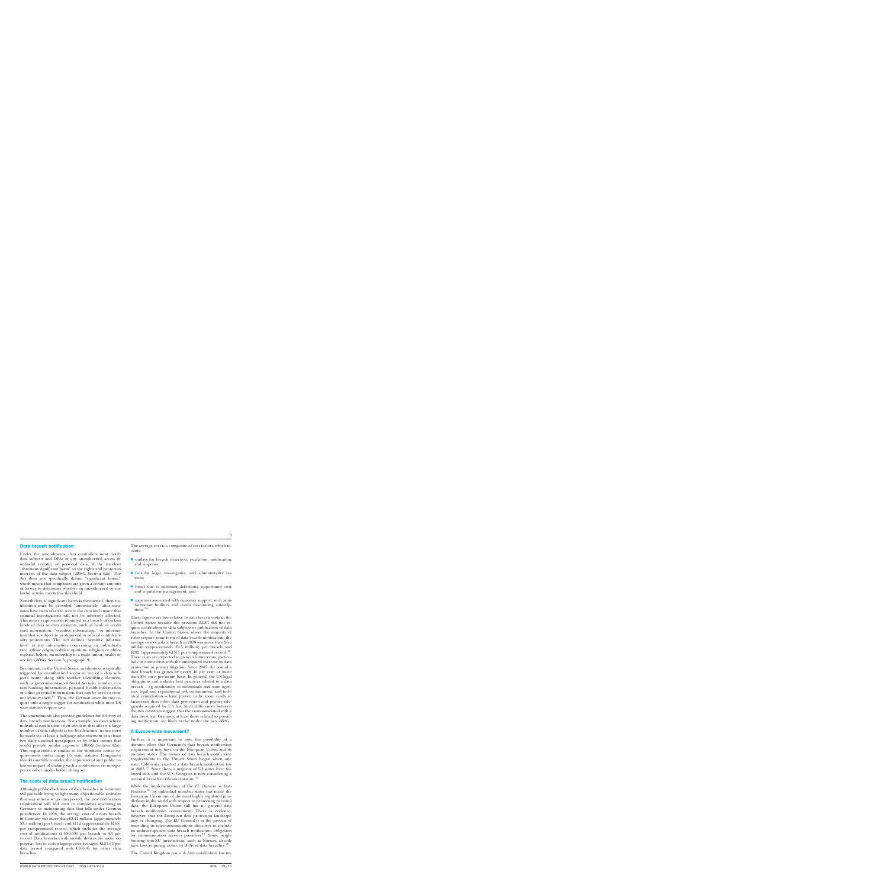# Data breach notification

Under the amendments, data controllers must notify data subjects and DPAs of any unauthorised access or unlawful transfer of personal data, if the incident ''threatens significant harm'' to the rights and protected interests of the data subject (*BDSG*, Section 42a). The Act does not specifically define ''significant harm,'' which means that companies are given a certain amount of leeway to determine whether an unauthorised or unlawful activity meets this threshold.

Nonetheless, if significant harm is threatened, then notification must be provided ''immediately'' after measures have been taken to secure the data and ensure that criminal investigations will not be adversely affected. This notice requirement is limited to a breach of certain kinds of data or data elements, such as bank or credit card information, "sensitive information," or information that is subject to professional or official confidentiality protections. The Act defines ''sensitive information'' as any information concerning an individual's race, ethnic origin, political opinions, religious or philosophical beliefs, membership in a trade union, health or sex life (*BDSG*, Section 3, paragraph 9).

By contrast, in the United States, notification is typically triggered by unauthorised access or use of a data subject's name along with another identifying element, such as government-issued Social Security number, certain banking information, personal health information or other personal information that can be used to commit identity theft.<sup>13</sup> Thus, the German amendments require only a single trigger for notification while most US state statutes require two.

The amendments also provide guidelines for delivery of data breach notifications. For example, in cases where individual notification of an incident that affects a large number of data subjects is too burdensome, notice must be made via at least a half-page advertisement in at least two daily national newspapers or by other means that would provide similar exposure (*BDSG*, Section 42a). This requirement is similar to the substitute notice requirements under many US state statutes. Companies should carefully consider the reputational and public relations impact of making such a notification via newspaper or other media before doing so.

#### The costs of data breach notification

Although public disclosure of data breaches in Germany will probably bring to light many objectionable activities that may otherwise go unreported, the new notification requirement will add costs to companies operating in Germany or maintaining data that falls under German jurisdiction. In 2008, the average cost of a data breach in Germany was more than  $\epsilon$ 2.41 million (approximately \$3.5 million) per breach and  $\text{\textsterling}112$  (approximately \$165) per compromised record, which includes the average cost of notifications at  $\epsilon$ 80,000 per breach or  $\epsilon$ 4 per record. Data breaches with mobile devices are more expensive: lost or stolen laptop costs averaged  $E123.63$  per data record compared with  $£106.85$  for other data breaches.

The average cost is a composite of cost factors, which include:

- $\blacksquare$  outlays for breach detection, escalation, notification, and response;
- $\blacksquare$  fees for legal, investigative, and administrative services;
- **I** losses due to customer defections, opportunity cost, and reputation management; and
- $\blacksquare$  expenses associated with customer support, such as information hotlines and credit monitoring subscriptions.<sup>14</sup>

These figures are low relative to data breach costs in the United States because the previous *BDSG* did not require notification to data subjects or publication of data breaches. In the United States, where the majority of states require some form of data breach notification, the average cost of a data breach in 2008 was more than \$6.6 million (approximately  $64.5$  million) per breach and \$202 (approximately  $E137$ ) per compromised record.<sup>15</sup> These costs are expected to grow in future years, particularly in connection with the anticipated increase in data protection or privacy litigation. Since 2005, the cost of a data breach has grown by nearly 40 per cent or more than \$64 on a per-victim basis. In general, the US legal obligations and industry best practices related to a data breach – eg notification to individuals and state agencies, legal and reputational risk containment, and technical remediation – have proven to be more costly to businesses than other data protection and privacy safeguards required by US law. Such differences between the two countries suggest that the costs associated with a data breach in Germany, at least those related to providing notification, are likely to rise under the new *BDSG*.

#### A Europe-wide movement?

Further, it is important to note the possibility of a domino effect that Germany's data breach notification requirement may have on the European Union and its member states. The history of data breach notification requirements in the United States began when one state, California, enacted a data breach notification law in 2003.16 Since then, a majority of US states have followed suit, and the U.S. Congress is now considering a national breach notification statute.<sup>17</sup>

While the implementation of the *EU Directive on Data Protection*<sup>18</sup> by individual member states has made the European Union one of the most highly regulated jurisdictions in the world with respect to protecting personal data, the European Union still has no general data breach notification requirement. There is evidence, however, that the European data protection landscape may be changing. The EU Council is in the process of amending its telecommunications directives to include an industry-specific data breach notification obligation for communication services providers.<sup>19</sup> Some neighbouring non-EU jurisdictions, such as Norway, already have laws requiring notice to DPAs of data breaches.<sup>20</sup>

The United Kingdom has a *de facto* notification law im-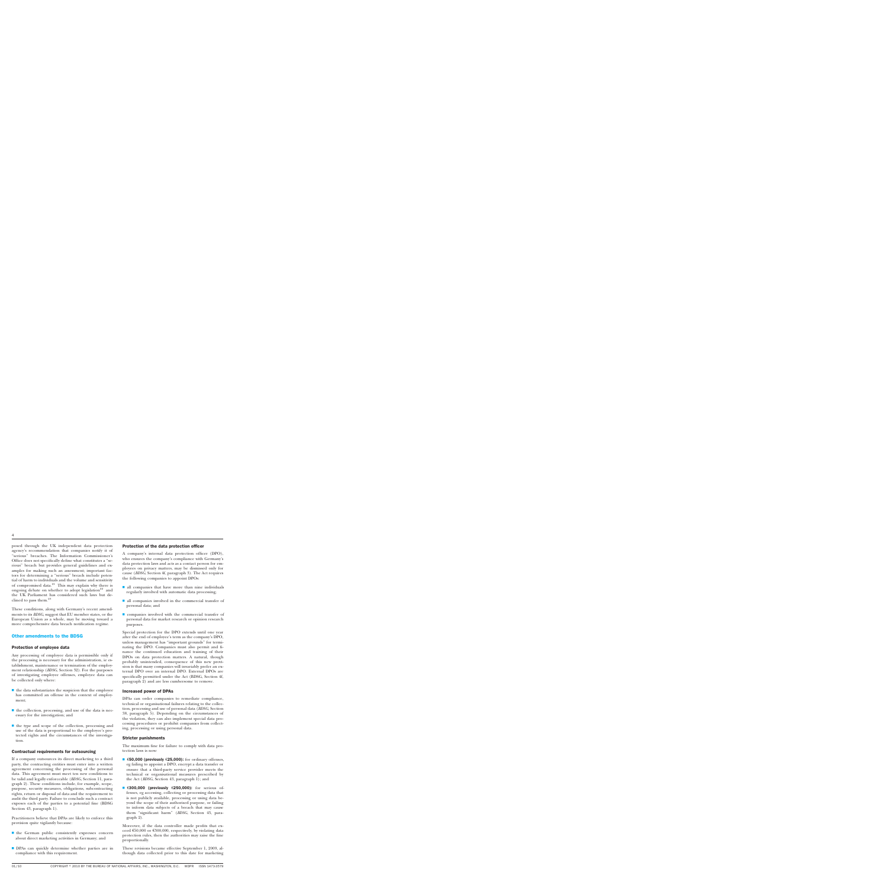posed through the UK independent data protection agency's recommendation that companies notify it of ''serious'' breaches. The Information Commissioner's Office does not specifically define what constitutes a ''serious'' breach but provides general guidelines and examples for making such an assessment; important factors for determining a "serious" breach include potential of harm to individuals and the volume and sensitivity of compromised data.<sup>21</sup> This may explain why there is ongoing debate on whether to adopt legislation<sup>22</sup> and the UK Parliament has considered such laws but declined to pass them.<sup>23</sup>

These conditions, along with Germany's recent amendments to its *BDSG*, suggest that EU member states, or the European Union as a whole, may be moving toward a more comprehensive data breach notification regime.

### Other amendments to the BDSG

#### Protection of employee data

Any processing of employee data is permissible only if the processing is necessary for the administration, ie establishment, maintenance or termination of the employment relationship (*BDSG*, Section 32). For the purposes of investigating employee offenses, employee data can be collected only where:

- $\blacksquare$  the data substantiates the suspicion that the employee has committed an offense in the context of employment;
- $\blacksquare$  the collection, processing, and use of the data is necessary for the investigation; and
- $\blacksquare$  the type and scope of the collection, processing and use of the data is proportional to the employee's protected rights and the circumstances of the investigation.

#### Contractual requirements for outsourcing

If a company outsources its direct marketing to a third party, the contracting entities must enter into a written agreement concerning the processing of the personal data. This agreement must meet ten new conditions to be valid and legally enforceable (*BDSG*, Section 11, paragraph 2). These conditions include, for example, scope, purpose, security measures, obligations, subcontracting rights, return or disposal of data and the requirement to audit the third party. Failure to conclude such a contract exposes each of the parties to a potential fine (BDSG Section 43, paragraph 1).

Practitioners believe that DPAs are likely to enforce this provision quite vigilantly because:

- $\blacksquare$  the German public consistently expresses concern about direct marketing activities in Germany; and
- **DPAs** can quickly determine whether parties are in compliance with this requirement.

#### Protection of the data protection officer

A company's internal data protection officer (DPO), who ensures the company's compliance with Germany's data protection laws and acts as a contact person for employees on privacy matters, may be dismissed only for cause (*BDSG*, Section 4f, paragraph 3). The Act requires the following companies to appoint DPOs:

- $\blacksquare$  all companies that have more than nine individuals regularly involved with automatic data processing;
- $\blacksquare$  all companies involved in the commercial transfer of personal data; and
- $\blacksquare$  companies involved with the commercial transfer of personal data for market research or opinion research purposes.

Special protection for the DPO extends until one year after the end of employee's term as the company's DPO, unless management has ''important grounds'' for terminating the DPO. Companies must also permit and finance the continued education and training of their DPOs on data protection matters. A natural, though probably unintended, consequence of this new provision is that many companies will invariably prefer an external DPO over an internal DPO. External DPOs are specifically permitted under the Act (BDSG, Section 4f, paragraph 2) and are less cumbersome to remove.

#### Increased power of DPAs

DPAs can order companies to remediate compliance, technical or organisational failures relating to the collection, processing and use of personal data (*BDSG*, Section 38, paragraph 5). Depending on the circumstances of the violation, they can also implement special data processing procedures or prohibit companies from collecting, processing or using personal data.

#### Stricter punishments

The maximum fine for failure to comply with data protection laws is now:

- $€50,000$  (previously  $€25,000$ ): for ordinary offenses, eg failing to appoint a DPO, encrypt a data transfer or ensure that a third-party service provider meets the technical or organisational measures prescribed by the Act (*BDSG*, Section 43, paragraph 1); and
- $\epsilon$ 300,000 (previously  $\epsilon$ 250,000): for serious offenses, eg accessing, collecting or processing data that is not publicly available, processing or using data beyond the scope of their authorised purpose, or failing to inform data subjects of a breach that may cause them "significant harm" (*BDSG*, Section 43, paragraph 2).

Moreover, if the data controller made profits that exceed  $\text{\textsterling}50,000$  or  $\text{\textsterling}300,000$ , respectively, by violating data protection rules, then the authorities may raise the fine proportionally.

These revisions became effective September 1, 2009, although data collected prior to this date for marketing